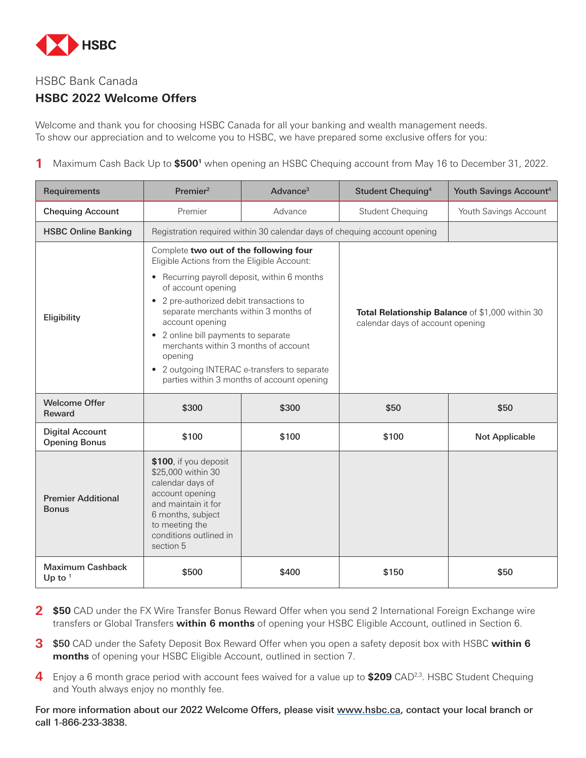

# HSBC Bank Canada

# **HSBC 2022 Welcome Offers**

Welcome and thank you for choosing HSBC Canada for all your banking and wealth management needs. To show our appreciation and to welcome you to HSBC, we have prepared some exclusive offers for you:

**1** Maximum Cash Back Up to **\$5001** when opening an HSBC Chequing account from May 16 to December 31, 2022.

| Requirements                                   | Premier <sup>2</sup>                                                                                                                                                                                                                                                                                                                                                                                                                                                               | Advance <sup>3</sup> | Student Chequing <sup>4</sup>                                                       | Youth Savings Account <sup>4</sup> |
|------------------------------------------------|------------------------------------------------------------------------------------------------------------------------------------------------------------------------------------------------------------------------------------------------------------------------------------------------------------------------------------------------------------------------------------------------------------------------------------------------------------------------------------|----------------------|-------------------------------------------------------------------------------------|------------------------------------|
| <b>Chequing Account</b>                        | Premier                                                                                                                                                                                                                                                                                                                                                                                                                                                                            | Advance              | <b>Student Chequing</b>                                                             | Youth Savings Account              |
| <b>HSBC Online Banking</b>                     |                                                                                                                                                                                                                                                                                                                                                                                                                                                                                    |                      | Registration required within 30 calendar days of chequing account opening           |                                    |
| Eligibility                                    | Complete two out of the following four<br>Eligible Actions from the Eligible Account:<br>• Recurring payroll deposit, within 6 months<br>of account opening<br>2 pre-authorized debit transactions to<br>$\bullet$<br>separate merchants within 3 months of<br>account opening<br>• 2 online bill payments to separate<br>merchants within 3 months of account<br>opening<br>2 outgoing INTERAC e-transfers to separate<br>$\bullet$<br>parties within 3 months of account opening |                      | Total Relationship Balance of \$1,000 within 30<br>calendar days of account opening |                                    |
| <b>Welcome Offer</b><br><b>Reward</b>          | \$300                                                                                                                                                                                                                                                                                                                                                                                                                                                                              | \$300                | \$50                                                                                | \$50                               |
| <b>Digital Account</b><br><b>Opening Bonus</b> | \$100                                                                                                                                                                                                                                                                                                                                                                                                                                                                              | \$100                | \$100                                                                               | <b>Not Applicable</b>              |
| <b>Premier Additional</b><br><b>Bonus</b>      | \$100, if you deposit<br>\$25,000 within 30<br>calendar days of<br>account opening<br>and maintain it for<br>6 months, subject<br>to meeting the<br>conditions outlined in<br>section 5                                                                                                                                                                                                                                                                                            |                      |                                                                                     |                                    |
| <b>Maximum Cashback</b><br>Up to $1$           | \$500                                                                                                                                                                                                                                                                                                                                                                                                                                                                              | \$400                | \$150                                                                               | \$50                               |

- 2 \$50 CAD under the FX Wire Transfer Bonus Reward Offer when you send 2 International Foreign Exchange wire transfers or Global Transfers **within 6 months** of opening your HSBC Eligible Account, outlined in Section 6.
- **3** \$50 CAD under the Safety Deposit Box Reward Offer when you open a safety deposit box with HSBC **within 6 months** of opening your HSBC Eligible Account, outlined in section 7.
- **4** Enjoy a 6 month grace period with account fees waived for a value up to \$209 CAD<sup>2,3</sup>. HSBC Student Chequing and Youth always enjoy no monthly fee.

For more information about our 2022 Welcome Offers, please visit [www.hsbc.ca,](http://www.hsbc.ca) contact your local branch or call 1-866-233-3838.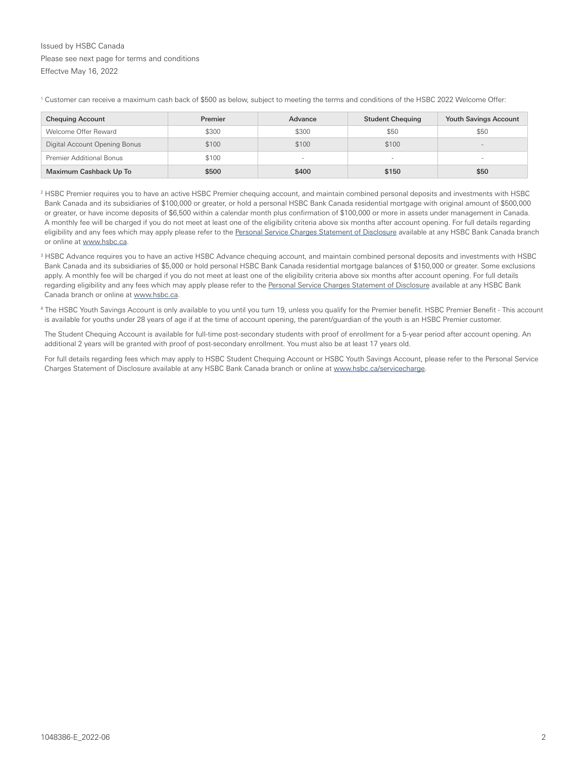### Issued by HSBC Canada Please see next page for terms and conditions Effectve May 16, 2022

<sup>1</sup> Customer can receive a maximum cash back of \$500 as below, subject to meeting the terms and conditions of the HSBC 2022 Welcome Offer:

| <b>Chequing Account</b>         | Premier | Advance | <b>Student Chequing</b> | <b>Youth Savings Account</b> |
|---------------------------------|---------|---------|-------------------------|------------------------------|
| Welcome Offer Reward            | \$300   | \$300   | \$50                    | \$50                         |
| Digital Account Opening Bonus   | \$100   | \$100   | \$100                   | $\sim$                       |
| <b>Premier Additional Bonus</b> | \$100   | $\sim$  |                         | $\sim$                       |
| Maximum Cashback Up To          | \$500   | \$400   | \$150                   | \$50                         |

2 HSBC Premier requires you to have an active HSBC Premier chequing account, and maintain combined personal deposits and investments with HSBC Bank Canada and its subsidiaries of \$100,000 or greater, or hold a personal HSBC Bank Canada residential mortgage with original amount of \$500,000 or greater, or have income deposits of \$6,500 within a calendar month plus confirmation of \$100,000 or more in assets under management in Canada. A monthly fee will be charged if you do not meet at least one of the eligibility criteria above six months after account opening. For full details regarding eligibility and any fees which may apply please refer to the [Personal Service Charges Statement of Disclosure](http://www.hsbc.ca/1/content/canada4/assets/pib/StatementofDisclosure_en.pdf) available at any HSBC Bank Canada branch or online at [www.hsbc.ca.](http://www.hsbc.ca/1/2/personal)

- 3 HSBC Advance requires you to have an active HSBC Advance chequing account, and maintain combined personal deposits and investments with HSBC Bank Canada and its subsidiaries of \$5,000 or hold personal HSBC Bank Canada residential mortgage balances of \$150,000 or greater. Some exclusions apply. A monthly fee will be charged if you do not meet at least one of the eligibility criteria above six months after account opening. For full details regarding eligibility and any fees which may apply please refer to the [Personal Service Charges Statement of Disclosure](http://www.hsbc.ca/1/content/canada4/assets/pib/StatementofDisclosure_en.pdf) available at any HSBC Bank Canada branch or online at [www.hsbc.ca.](http://www.hsbc.ca/1/2/personal)
- 4 The HSBC Youth Savings Account is only available to you until you turn 19, unless you qualify for the Premier benefit. HSBC Premier Benefit This account is available for youths under 28 years of age if at the time of account opening, the parent/guardian of the youth is an HSBC Premier customer.

The Student Chequing Account is available for full-time post-secondary students with proof of enrollment for a 5-year period after account opening. An additional 2 years will be granted with proof of post-secondary enrollment. You must also be at least 17 years old.

For full details regarding fees which may apply to HSBC Student Chequing Account or HSBC Youth Savings Account, please refer to the Personal Service Charges Statement of Disclosure available at any HSBC Bank Canada branch or online at [www.hsbc.ca/servicecharge.](http://www.hsbc.ca/servicecharge)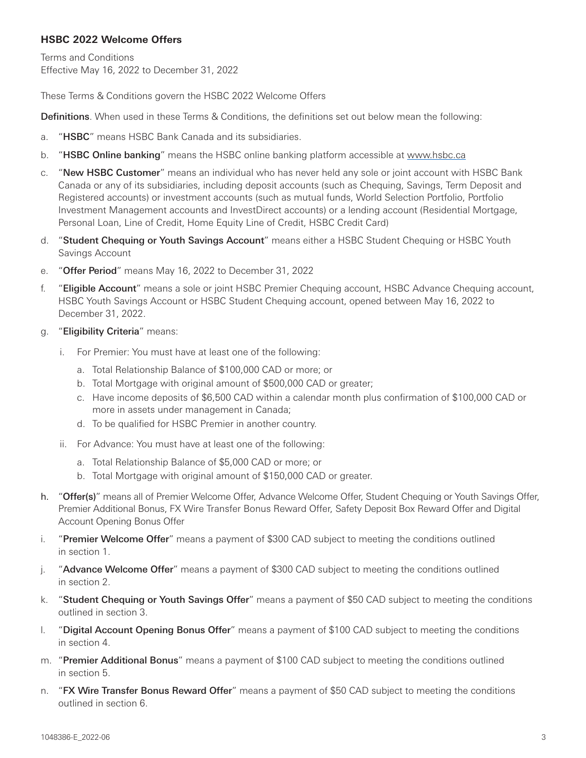# **HSBC 2022 Welcome Offers**

Terms and Conditions Effective May 16, 2022 to December 31, 2022

These Terms & Conditions govern the HSBC 2022 Welcome Offers

**Definitions**. When used in these Terms & Conditions, the definitions set out below mean the following:

- a. "HSBC" means HSBC Bank Canada and its subsidiaries.
- b. "HSBC Online banking" means the HSBC online banking platform accessible at [www.hsbc.ca](http://www.hsbc.ca)
- c. "New HSBC Customer" means an individual who has never held any sole or joint account with HSBC Bank Canada or any of its subsidiaries, including deposit accounts (such as Chequing, Savings, Term Deposit and Registered accounts) or investment accounts (such as mutual funds, World Selection Portfolio, Portfolio Investment Management accounts and InvestDirect accounts) or a lending account (Residential Mortgage, Personal Loan, Line of Credit, Home Equity Line of Credit, HSBC Credit Card)
- d. "Student Chequing or Youth Savings Account" means either a HSBC Student Chequing or HSBC Youth Savings Account
- e. "Offer Period" means May 16, 2022 to December 31, 2022
- f. "Eligible Account" means a sole or joint HSBC Premier Chequing account, HSBC Advance Chequing account, HSBC Youth Savings Account or HSBC Student Chequing account, opened between May 16, 2022 to December 31, 2022.
- g. "Eligibility Criteria" means:
	- i. For Premier: You must have at least one of the following:
		- a. Total Relationship Balance of \$100,000 CAD or more; or
		- b. Total Mortgage with original amount of \$500,000 CAD or greater;
		- c. Have income deposits of \$6,500 CAD within a calendar month plus confirmation of \$100,000 CAD or more in assets under management in Canada;
		- d. To be qualified for HSBC Premier in another country.
	- ii. For Advance: You must have at least one of the following:
		- a. Total Relationship Balance of \$5,000 CAD or more; or
		- b. Total Mortgage with original amount of \$150,000 CAD or greater.
- h. "Offer(s)" means all of Premier Welcome Offer, Advance Welcome Offer, Student Chequing or Youth Savings Offer, Premier Additional Bonus, FX Wire Transfer Bonus Reward Offer, Safety Deposit Box Reward Offer and Digital Account Opening Bonus Offer
- i. "Premier Welcome Offer" means a payment of \$300 CAD subject to meeting the conditions outlined in section 1.
- j. "Advance Welcome Offer" means a payment of \$300 CAD subject to meeting the conditions outlined in section 2.
- k. "Student Chequing or Youth Savings Offer" means a payment of \$50 CAD subject to meeting the conditions outlined in section 3.
- l. "Digital Account Opening Bonus Offer" means a payment of \$100 CAD subject to meeting the conditions in section 4.
- m. "Premier Additional Bonus" means a payment of \$100 CAD subject to meeting the conditions outlined in section 5.
- n. "FX Wire Transfer Bonus Reward Offer" means a payment of \$50 CAD subject to meeting the conditions outlined in section 6.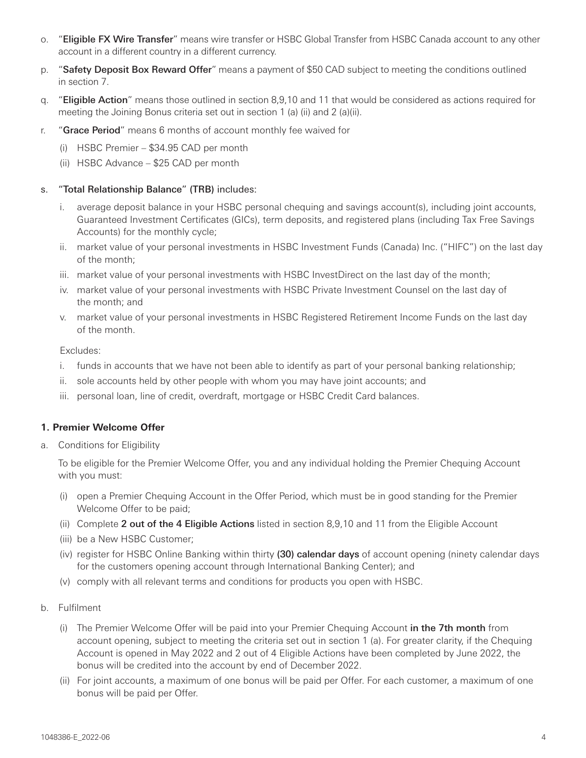- o. "Eligible FX Wire Transfer" means wire transfer or HSBC Global Transfer from HSBC Canada account to any other account in a different country in a different currency.
- p. "Safety Deposit Box Reward Offer" means a payment of \$50 CAD subject to meeting the conditions outlined in section 7.
- q. "Eligible Action" means those outlined in section 8,9,10 and 11 that would be considered as actions required for meeting the Joining Bonus criteria set out in section 1 (a) (ii) and 2 (a)(ii).
- r. "Grace Period" means 6 months of account monthly fee waived for
	- (i) HSBC Premier \$34.95 CAD per month
	- (ii) HSBC Advance \$25 CAD per month

# s. "Total Relationship Balance" (TRB) includes:

- i. average deposit balance in your HSBC personal chequing and savings account(s), including joint accounts, Guaranteed Investment Certificates (GICs), term deposits, and registered plans (including Tax Free Savings Accounts) for the monthly cycle;
- ii. market value of your personal investments in HSBC Investment Funds (Canada) Inc. ("HIFC") on the last day of the month;
- iii. market value of your personal investments with HSBC InvestDirect on the last day of the month;
- iv. market value of your personal investments with HSBC Private Investment Counsel on the last day of the month; and
- v. market value of your personal investments in HSBC Registered Retirement Income Funds on the last day of the month.

Excludes:

- i. funds in accounts that we have not been able to identify as part of your personal banking relationship;
- ii. sole accounts held by other people with whom you may have joint accounts; and
- iii. personal loan, line of credit, overdraft, mortgage or HSBC Credit Card balances.

# **1. Premier Welcome Offer**

a. Conditions for Eligibility

To be eligible for the Premier Welcome Offer, you and any individual holding the Premier Chequing Account with you must:

- (i) open a Premier Chequing Account in the Offer Period, which must be in good standing for the Premier Welcome Offer to be paid;
- (ii) Complete 2 out of the 4 Eligible Actions listed in section 8,9,10 and 11 from the Eligible Account
- (iii) be a New HSBC Customer;
- (iv) register for HSBC Online Banking within thirty (30) calendar days of account opening (ninety calendar days for the customers opening account through International Banking Center); and
- (v) comply with all relevant terms and conditions for products you open with HSBC.
- b. Fulfilment
	- (i) The Premier Welcome Offer will be paid into your Premier Chequing Account in the 7th month from account opening, subject to meeting the criteria set out in section 1 (a). For greater clarity, if the Chequing Account is opened in May 2022 and 2 out of 4 Eligible Actions have been completed by June 2022, the bonus will be credited into the account by end of December 2022.
	- (ii) For joint accounts, a maximum of one bonus will be paid per Offer. For each customer, a maximum of one bonus will be paid per Offer.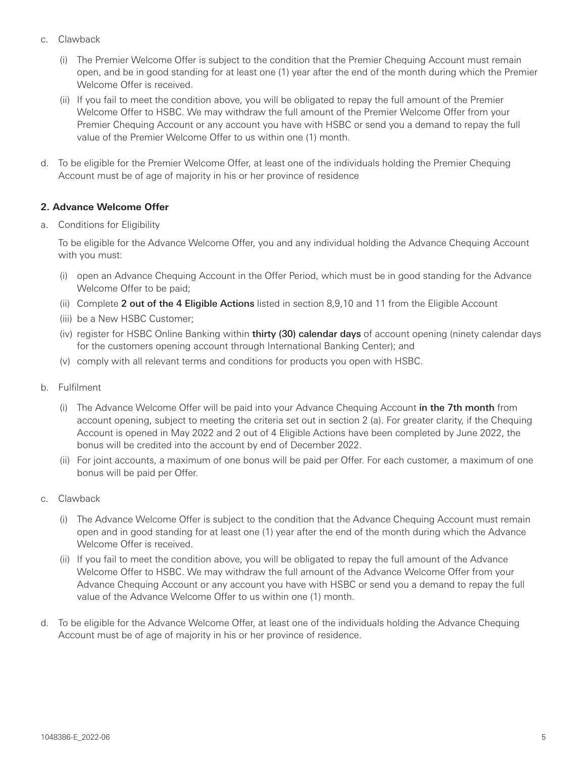- c. Clawback
	- (i) The Premier Welcome Offer is subject to the condition that the Premier Chequing Account must remain open, and be in good standing for at least one (1) year after the end of the month during which the Premier Welcome Offer is received.
	- (ii) If you fail to meet the condition above, you will be obligated to repay the full amount of the Premier Welcome Offer to HSBC. We may withdraw the full amount of the Premier Welcome Offer from your Premier Chequing Account or any account you have with HSBC or send you a demand to repay the full value of the Premier Welcome Offer to us within one (1) month.
- d. To be eligible for the Premier Welcome Offer, at least one of the individuals holding the Premier Chequing Account must be of age of majority in his or her province of residence

# **2. Advance Welcome Offer**

a. Conditions for Eligibility

To be eligible for the Advance Welcome Offer, you and any individual holding the Advance Chequing Account with you must:

- (i) open an Advance Chequing Account in the Offer Period, which must be in good standing for the Advance Welcome Offer to be paid;
- (ii) Complete 2 out of the 4 Eligible Actions listed in section 8,9,10 and 11 from the Eligible Account
- (iii) be a New HSBC Customer;
- (iv) register for HSBC Online Banking within thirty (30) calendar days of account opening (ninety calendar days for the customers opening account through International Banking Center); and
- (v) comply with all relevant terms and conditions for products you open with HSBC.
- b. Fulfilment
	- (i) The Advance Welcome Offer will be paid into your Advance Chequing Account in the 7th month from account opening, subject to meeting the criteria set out in section 2 (a). For greater clarity, if the Chequing Account is opened in May 2022 and 2 out of 4 Eligible Actions have been completed by June 2022, the bonus will be credited into the account by end of December 2022.
	- (ii) For joint accounts, a maximum of one bonus will be paid per Offer. For each customer, a maximum of one bonus will be paid per Offer.
- c. Clawback
	- (i) The Advance Welcome Offer is subject to the condition that the Advance Chequing Account must remain open and in good standing for at least one (1) year after the end of the month during which the Advance Welcome Offer is received.
	- (ii) If you fail to meet the condition above, you will be obligated to repay the full amount of the Advance Welcome Offer to HSBC. We may withdraw the full amount of the Advance Welcome Offer from your Advance Chequing Account or any account you have with HSBC or send you a demand to repay the full value of the Advance Welcome Offer to us within one (1) month.
- d. To be eligible for the Advance Welcome Offer, at least one of the individuals holding the Advance Chequing Account must be of age of majority in his or her province of residence.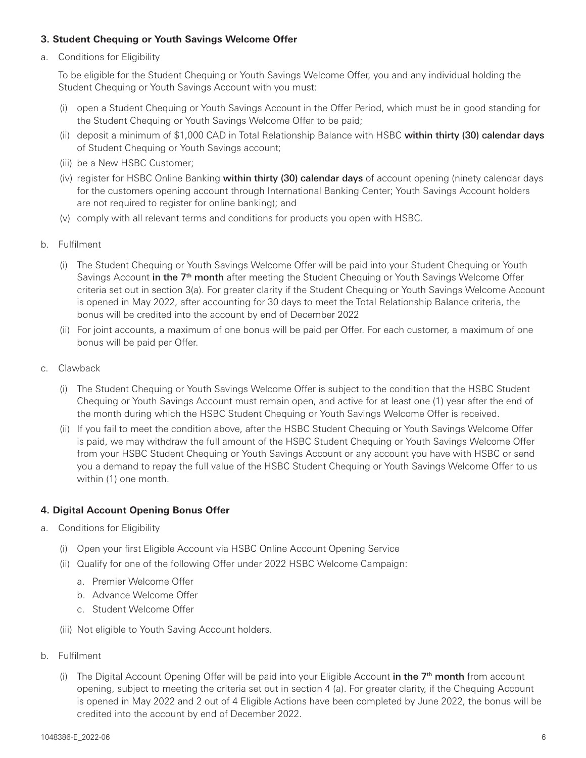## **3. Student Chequing or Youth Savings Welcome Offer**

a. Conditions for Eligibility

To be eligible for the Student Chequing or Youth Savings Welcome Offer, you and any individual holding the Student Chequing or Youth Savings Account with you must:

- (i) open a Student Chequing or Youth Savings Account in the Offer Period, which must be in good standing for the Student Chequing or Youth Savings Welcome Offer to be paid;
- (ii) deposit a minimum of \$1,000 CAD in Total Relationship Balance with HSBC within thirty (30) calendar days of Student Chequing or Youth Savings account;
- (iii) be a New HSBC Customer;
- (iv) register for HSBC Online Banking within thirty (30) calendar days of account opening (ninety calendar days for the customers opening account through International Banking Center; Youth Savings Account holders are not required to register for online banking); and
- (v) comply with all relevant terms and conditions for products you open with HSBC.
- b. Fulfilment
	- (i) The Student Chequing or Youth Savings Welcome Offer will be paid into your Student Chequing or Youth Savings Account in the 7<sup>th</sup> month after meeting the Student Chequing or Youth Savings Welcome Offer criteria set out in section 3(a). For greater clarity if the Student Chequing or Youth Savings Welcome Account is opened in May 2022, after accounting for 30 days to meet the Total Relationship Balance criteria, the bonus will be credited into the account by end of December 2022
	- (ii) For joint accounts, a maximum of one bonus will be paid per Offer. For each customer, a maximum of one bonus will be paid per Offer.
- c. Clawback
	- (i) The Student Chequing or Youth Savings Welcome Offer is subject to the condition that the HSBC Student Chequing or Youth Savings Account must remain open, and active for at least one (1) year after the end of the month during which the HSBC Student Chequing or Youth Savings Welcome Offer is received.
	- (ii) If you fail to meet the condition above, after the HSBC Student Chequing or Youth Savings Welcome Offer is paid, we may withdraw the full amount of the HSBC Student Chequing or Youth Savings Welcome Offer from your HSBC Student Chequing or Youth Savings Account or any account you have with HSBC or send you a demand to repay the full value of the HSBC Student Chequing or Youth Savings Welcome Offer to us within (1) one month.

# **4. Digital Account Opening Bonus Offer**

- a. Conditions for Eligibility
	- (i) Open your first Eligible Account via HSBC Online Account Opening Service
	- (ii) Qualify for one of the following Offer under 2022 HSBC Welcome Campaign:
		- a. Premier Welcome Offer
		- b. Advance Welcome Offer
		- c. Student Welcome Offer
	- (iii) Not eligible to Youth Saving Account holders.
- b. Fulfilment
	- (i) The Digital Account Opening Offer will be paid into your Eligible Account in the  $7<sup>th</sup>$  month from account opening, subject to meeting the criteria set out in section 4 (a). For greater clarity, if the Chequing Account is opened in May 2022 and 2 out of 4 Eligible Actions have been completed by June 2022, the bonus will be credited into the account by end of December 2022.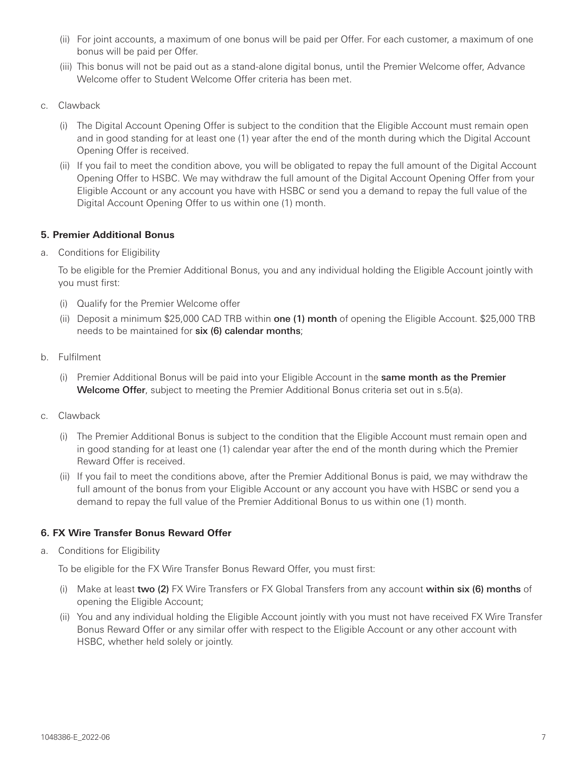- (ii) For joint accounts, a maximum of one bonus will be paid per Offer. For each customer, a maximum of one bonus will be paid per Offer.
- (iii) This bonus will not be paid out as a stand-alone digital bonus, until the Premier Welcome offer, Advance Welcome offer to Student Welcome Offer criteria has been met.
- c. Clawback
	- (i) The Digital Account Opening Offer is subject to the condition that the Eligible Account must remain open and in good standing for at least one (1) year after the end of the month during which the Digital Account Opening Offer is received.
	- (ii) If you fail to meet the condition above, you will be obligated to repay the full amount of the Digital Account Opening Offer to HSBC. We may withdraw the full amount of the Digital Account Opening Offer from your Eligible Account or any account you have with HSBC or send you a demand to repay the full value of the Digital Account Opening Offer to us within one (1) month.

# **5. Premier Additional Bonus**

a. Conditions for Eligibility

To be eligible for the Premier Additional Bonus, you and any individual holding the Eligible Account jointly with you must first:

- (i) Qualify for the Premier Welcome offer
- (ii) Deposit a minimum \$25,000 CAD TRB within one (1) month of opening the Eligible Account. \$25,000 TRB needs to be maintained for six (6) calendar months;
- b. Fulfilment
	- (i) Premier Additional Bonus will be paid into your Eligible Account in the same month as the Premier Welcome Offer, subject to meeting the Premier Additional Bonus criteria set out in s.5(a).
- c. Clawback
	- (i) The Premier Additional Bonus is subject to the condition that the Eligible Account must remain open and in good standing for at least one (1) calendar year after the end of the month during which the Premier Reward Offer is received.
	- (ii) If you fail to meet the conditions above, after the Premier Additional Bonus is paid, we may withdraw the full amount of the bonus from your Eligible Account or any account you have with HSBC or send you a demand to repay the full value of the Premier Additional Bonus to us within one (1) month.

# **6. FX Wire Transfer Bonus Reward Offer**

a. Conditions for Eligibility

To be eligible for the FX Wire Transfer Bonus Reward Offer, you must first:

- (i) Make at least two (2) FX Wire Transfers or FX Global Transfers from any account within six (6) months of opening the Eligible Account;
- (ii) You and any individual holding the Eligible Account jointly with you must not have received FX Wire Transfer Bonus Reward Offer or any similar offer with respect to the Eligible Account or any other account with HSBC, whether held solely or jointly.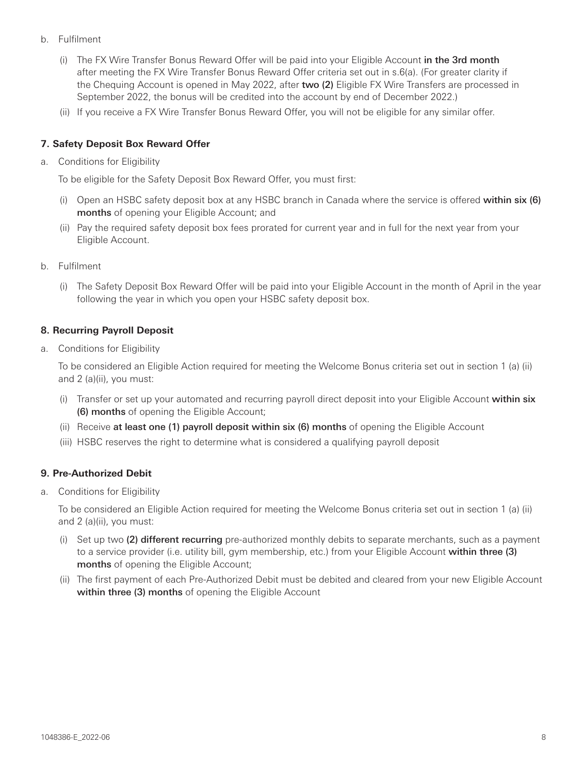- b. Fulfilment
	- (i) The FX Wire Transfer Bonus Reward Offer will be paid into your Eligible Account in the 3rd month after meeting the FX Wire Transfer Bonus Reward Offer criteria set out in s.6(a). (For greater clarity if the Chequing Account is opened in May 2022, after two (2) Eligible FX Wire Transfers are processed in September 2022, the bonus will be credited into the account by end of December 2022.)
	- (ii) If you receive a FX Wire Transfer Bonus Reward Offer, you will not be eligible for any similar offer.

## **7. Safety Deposit Box Reward Offer**

a. Conditions for Eligibility

To be eligible for the Safety Deposit Box Reward Offer, you must first:

- (i) Open an HSBC safety deposit box at any HSBC branch in Canada where the service is offered within six (6) months of opening your Eligible Account; and
- (ii) Pay the required safety deposit box fees prorated for current year and in full for the next year from your Eligible Account.
- b. Fulfilment
	- (i) The Safety Deposit Box Reward Offer will be paid into your Eligible Account in the month of April in the year following the year in which you open your HSBC safety deposit box.

### **8. Recurring Payroll Deposit**

a. Conditions for Eligibility

To be considered an Eligible Action required for meeting the Welcome Bonus criteria set out in section 1 (a) (ii) and 2 (a)(ii), you must:

- (i) Transfer or set up your automated and recurring payroll direct deposit into your Eligible Account within six (6) months of opening the Eligible Account;
- (ii) Receive at least one (1) payroll deposit within six (6) months of opening the Eligible Account
- (iii) HSBC reserves the right to determine what is considered a qualifying payroll deposit

### **9. Pre-Authorized Debit**

a. Conditions for Eligibility

To be considered an Eligible Action required for meeting the Welcome Bonus criteria set out in section 1 (a) (ii) and 2 (a)(ii), you must:

- (i) Set up two (2) different recurring pre-authorized monthly debits to separate merchants, such as a payment to a service provider (i.e. utility bill, gym membership, etc.) from your Eligible Account within three (3) months of opening the Eligible Account;
- (ii) The first payment of each Pre-Authorized Debit must be debited and cleared from your new Eligible Account within three (3) months of opening the Eligible Account